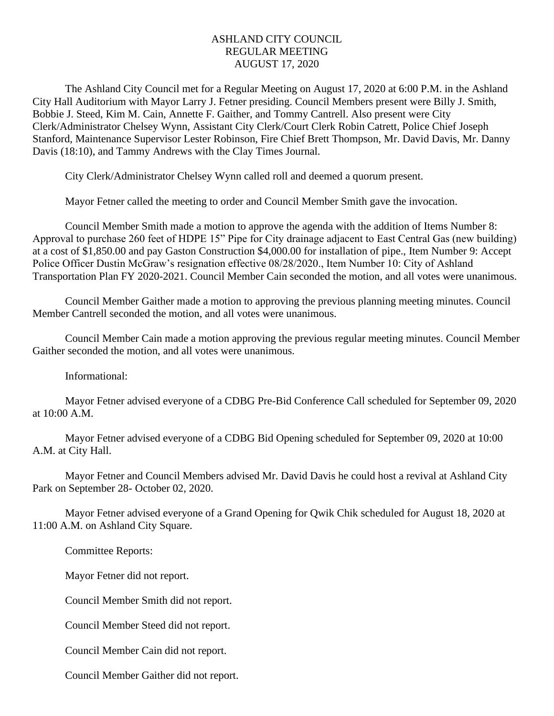## ASHLAND CITY COUNCIL REGULAR MEETING AUGUST 17, 2020

The Ashland City Council met for a Regular Meeting on August 17, 2020 at 6:00 P.M. in the Ashland City Hall Auditorium with Mayor Larry J. Fetner presiding. Council Members present were Billy J. Smith, Bobbie J. Steed, Kim M. Cain, Annette F. Gaither, and Tommy Cantrell. Also present were City Clerk/Administrator Chelsey Wynn, Assistant City Clerk/Court Clerk Robin Catrett, Police Chief Joseph Stanford, Maintenance Supervisor Lester Robinson, Fire Chief Brett Thompson, Mr. David Davis, Mr. Danny Davis (18:10), and Tammy Andrews with the Clay Times Journal.

City Clerk/Administrator Chelsey Wynn called roll and deemed a quorum present.

Mayor Fetner called the meeting to order and Council Member Smith gave the invocation.

Council Member Smith made a motion to approve the agenda with the addition of Items Number 8: Approval to purchase 260 feet of HDPE 15" Pipe for City drainage adjacent to East Central Gas (new building) at a cost of \$1,850.00 and pay Gaston Construction \$4,000.00 for installation of pipe., Item Number 9: Accept Police Officer Dustin McGraw's resignation effective 08/28/2020., Item Number 10: City of Ashland Transportation Plan FY 2020-2021. Council Member Cain seconded the motion, and all votes were unanimous.

Council Member Gaither made a motion to approving the previous planning meeting minutes. Council Member Cantrell seconded the motion, and all votes were unanimous.

Council Member Cain made a motion approving the previous regular meeting minutes. Council Member Gaither seconded the motion, and all votes were unanimous.

Informational:

Mayor Fetner advised everyone of a CDBG Pre-Bid Conference Call scheduled for September 09, 2020 at 10:00 A.M.

Mayor Fetner advised everyone of a CDBG Bid Opening scheduled for September 09, 2020 at 10:00 A.M. at City Hall.

Mayor Fetner and Council Members advised Mr. David Davis he could host a revival at Ashland City Park on September 28- October 02, 2020.

Mayor Fetner advised everyone of a Grand Opening for Qwik Chik scheduled for August 18, 2020 at 11:00 A.M. on Ashland City Square.

Committee Reports:

Mayor Fetner did not report.

Council Member Smith did not report.

Council Member Steed did not report.

Council Member Cain did not report.

Council Member Gaither did not report.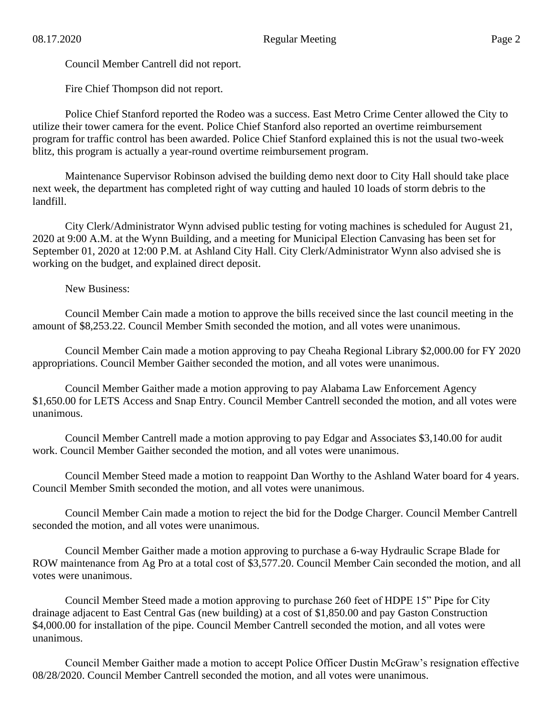Council Member Cantrell did not report.

Fire Chief Thompson did not report.

Police Chief Stanford reported the Rodeo was a success. East Metro Crime Center allowed the City to utilize their tower camera for the event. Police Chief Stanford also reported an overtime reimbursement program for traffic control has been awarded. Police Chief Stanford explained this is not the usual two-week blitz, this program is actually a year-round overtime reimbursement program.

Maintenance Supervisor Robinson advised the building demo next door to City Hall should take place next week, the department has completed right of way cutting and hauled 10 loads of storm debris to the landfill.

City Clerk/Administrator Wynn advised public testing for voting machines is scheduled for August 21, 2020 at 9:00 A.M. at the Wynn Building, and a meeting for Municipal Election Canvasing has been set for September 01, 2020 at 12:00 P.M. at Ashland City Hall. City Clerk/Administrator Wynn also advised she is working on the budget, and explained direct deposit.

New Business:

Council Member Cain made a motion to approve the bills received since the last council meeting in the amount of \$8,253.22. Council Member Smith seconded the motion, and all votes were unanimous.

Council Member Cain made a motion approving to pay Cheaha Regional Library \$2,000.00 for FY 2020 appropriations. Council Member Gaither seconded the motion, and all votes were unanimous.

Council Member Gaither made a motion approving to pay Alabama Law Enforcement Agency \$1,650.00 for LETS Access and Snap Entry. Council Member Cantrell seconded the motion, and all votes were unanimous.

Council Member Cantrell made a motion approving to pay Edgar and Associates \$3,140.00 for audit work. Council Member Gaither seconded the motion, and all votes were unanimous.

Council Member Steed made a motion to reappoint Dan Worthy to the Ashland Water board for 4 years. Council Member Smith seconded the motion, and all votes were unanimous.

Council Member Cain made a motion to reject the bid for the Dodge Charger. Council Member Cantrell seconded the motion, and all votes were unanimous.

Council Member Gaither made a motion approving to purchase a 6-way Hydraulic Scrape Blade for ROW maintenance from Ag Pro at a total cost of \$3,577.20. Council Member Cain seconded the motion, and all votes were unanimous.

Council Member Steed made a motion approving to purchase 260 feet of HDPE 15" Pipe for City drainage adjacent to East Central Gas (new building) at a cost of \$1,850.00 and pay Gaston Construction \$4,000.00 for installation of the pipe. Council Member Cantrell seconded the motion, and all votes were unanimous.

Council Member Gaither made a motion to accept Police Officer Dustin McGraw's resignation effective 08/28/2020. Council Member Cantrell seconded the motion, and all votes were unanimous.